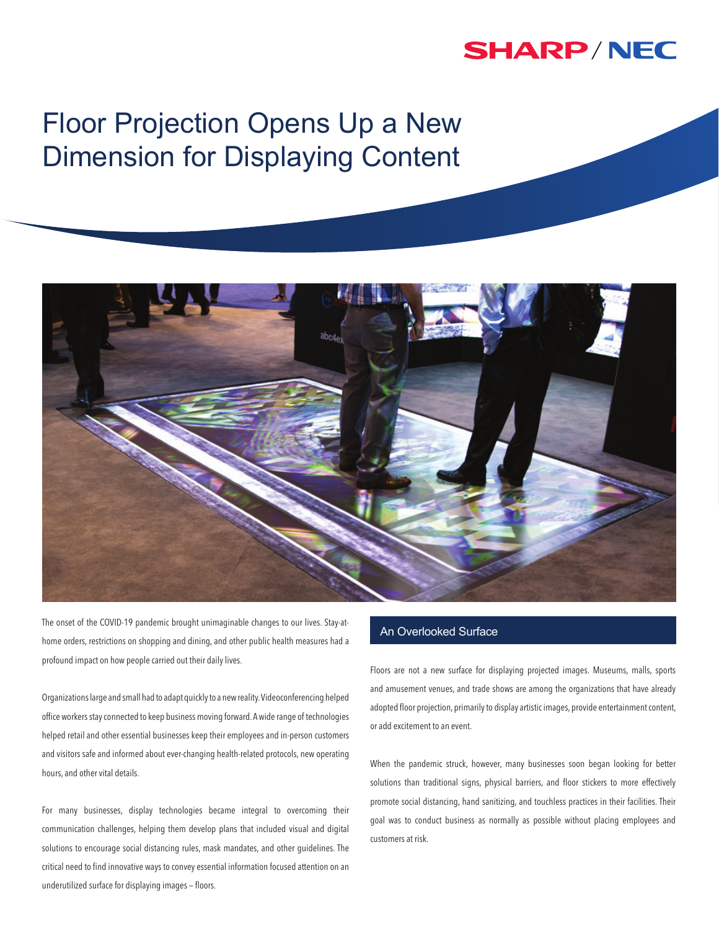## **SHARP/NEC**

# Floor Projection Opens Up a New Dimension for Displaying Content



The onset of the COVID-19 pandemic brought unimaginable changes to our lives. Stay-athome orders, restrictions on shopping and dining, and other public health measures had a profound impact on how people carried out their daily lives.

Organizations large and small had to adapt quickly to a new reality. Videoconferencing helped office workers stay connected to keep business moving forward. A wide range of technologies helped retail and other essential businesses keep their employees and in-person customers and visitors safe and informed about ever-changing health-related protocols, new operating hours, and other vital details.

For many businesses, display technologies became integral to overcoming their communication challenges, helping them develop plans that included visual and digital solutions to encourage social distancing rules, mask mandates, and other guidelines. The critical need to find innovative ways to convey essential information focused attention on an underutilized surface for displaying images — floors.

### An Overlooked Surface

Floors are not a new surface for displaying projected images. Museums, malls, sports and amusement venues, and trade shows are among the organizations that have already adopted floor projection, primarily to display artistic images, provide entertainment content, or add excitement to an event.

When the pandemic struck, however, many businesses soon began looking for better solutions than traditional signs, physical barriers, and floor stickers to more effectively promote social distancing, hand sanitizing, and touchless practices in their facilities. Their goal was to conduct business as normally as possible without placing employees and customers at risk.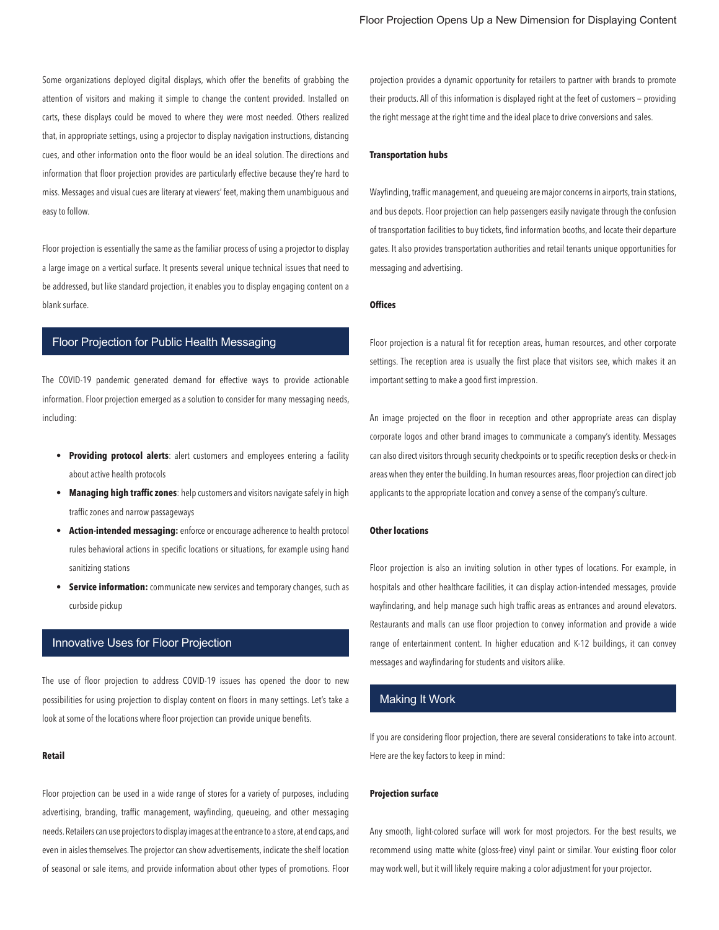Some organizations deployed digital displays, which offer the benefits of grabbing the attention of visitors and making it simple to change the content provided. Installed on carts, these displays could be moved to where they were most needed. Others realized that, in appropriate settings, using a projector to display navigation instructions, distancing cues, and other information onto the floor would be an ideal solution. The directions and information that floor projection provides are particularly effective because they're hard to miss. Messages and visual cues are literary at viewers' feet, making them unambiguous and easy to follow.

Floor projection is essentially the same as the familiar process of using a projector to display a large image on a vertical surface. It presents several unique technical issues that need to be addressed, but like standard projection, it enables you to display engaging content on a blank surface.

#### Floor Projection for Public Health Messaging

The COVID-19 pandemic generated demand for effective ways to provide actionable information. Floor projection emerged as a solution to consider for many messaging needs, including:

- **• Providing protocol alerts**: alert customers and employees entering a facility about active health protocols
- **• Managing high traffic zones**: help customers and visitors navigate safely in high traffic zones and narrow passageways
- **• Action-intended messaging:** enforce or encourage adherence to health protocol rules behavioral actions in specific locations or situations, for example using hand sanitizing stations
- **• Service information:** communicate new services and temporary changes, such as curbside pickup

#### Innovative Uses for Floor Projection

The use of floor projection to address COVID-19 issues has opened the door to new possibilities for using projection to display content on floors in many settings. Let's take a look at some of the locations where floor projection can provide unique benefits.

#### **Retail**

Floor projection can be used in a wide range of stores for a variety of purposes, including advertising, branding, traffic management, wayfinding, queueing, and other messaging needs. Retailers can use projectors to display images at the entrance to a store, at end caps, and even in aisles themselves. The projector can show advertisements, indicate the shelf location of seasonal or sale items, and provide information about other types of promotions. Floor projection provides a dynamic opportunity for retailers to partner with brands to promote their products. All of this information is displayed right at the feet of customers — providing the right message at the right time and the ideal place to drive conversions and sales.

#### **Transportation hubs**

Wayfinding, traffic management, and queueing are major concerns in airports, train stations, and bus depots. Floor projection can help passengers easily navigate through the confusion of transportation facilities to buy tickets, find information booths, and locate their departure gates. It also provides transportation authorities and retail tenants unique opportunities for messaging and advertising.

#### **Offices**

Floor projection is a natural fit for reception areas, human resources, and other corporate settings. The reception area is usually the first place that visitors see, which makes it an important setting to make a good first impression.

An image projected on the floor in reception and other appropriate areas can display corporate logos and other brand images to communicate a company's identity. Messages can also direct visitors through security checkpoints or to specific reception desks or check-in areas when they enter the building. In human resources areas, floor projection can direct job applicants to the appropriate location and convey a sense of the company's culture.

#### **Other locations**

Floor projection is also an inviting solution in other types of locations. For example, in hospitals and other healthcare facilities, it can display action-intended messages, provide wayfindaring, and help manage such high traffic areas as entrances and around elevators. Restaurants and malls can use floor projection to convey information and provide a wide range of entertainment content. In higher education and K-12 buildings, it can convey messages and wayfindaring for students and visitors alike.

#### Making It Work

If you are considering floor projection, there are several considerations to take into account. Here are the key factors to keep in mind:

#### **Projection surface**

Any smooth, light-colored surface will work for most projectors. For the best results, we recommend using matte white (gloss-free) vinyl paint or similar. Your existing floor color may work well, but it will likely require making a color adjustment for your projector.